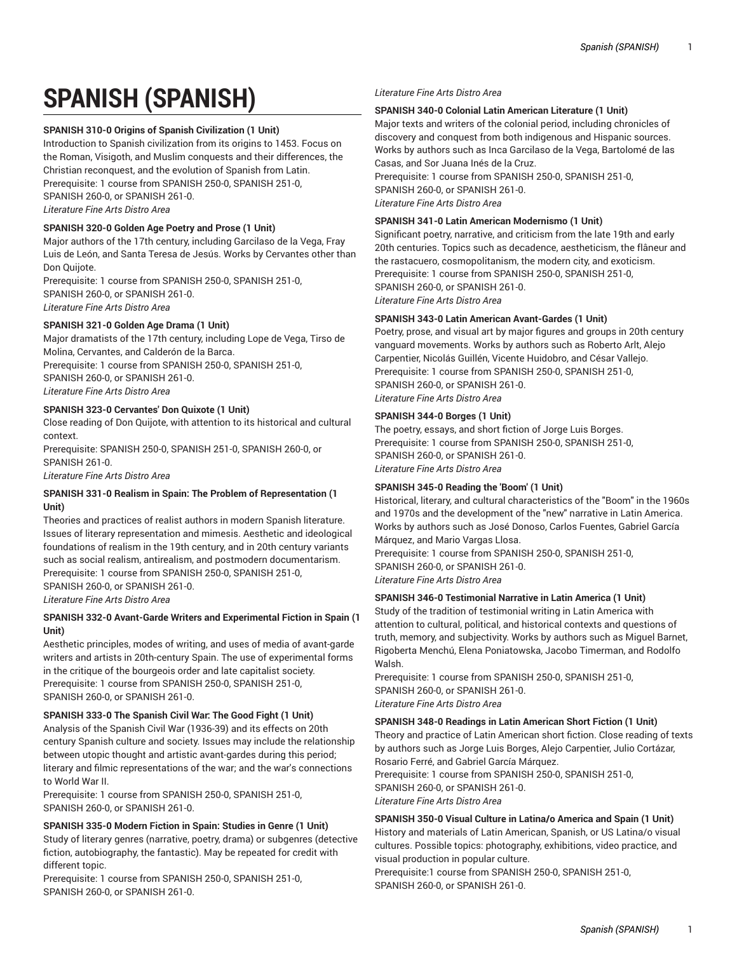# **SPANISH (SPANISH)**

# **SPANISH 310-0 Origins of Spanish Civilization (1 Unit)**

Introduction to Spanish civilization from its origins to 1453. Focus on the Roman, Visigoth, and Muslim conquests and their differences, the Christian reconquest, and the evolution of Spanish from Latin. Prerequisite: 1 course from SPANISH 250-0, SPANISH 251-0, SPANISH 260-0, or SPANISH 261-0. *Literature Fine Arts Distro Area*

# **SPANISH 320-0 Golden Age Poetry and Prose (1 Unit)**

Major authors of the 17th century, including Garcilaso de la Vega, Fray Luis de León, and Santa Teresa de Jesús. Works by Cervantes other than Don Quijote.

Prerequisite: 1 course from SPANISH 250-0, SPANISH 251-0, SPANISH 260-0, or SPANISH 261-0. *Literature Fine Arts Distro Area*

# **SPANISH 321-0 Golden Age Drama (1 Unit)**

Major dramatists of the 17th century, including Lope de Vega, Tirso de Molina, Cervantes, and Calderón de la Barca. Prerequisite: 1 course from SPANISH 250-0, SPANISH 251-0, SPANISH 260-0, or SPANISH 261-0. *Literature Fine Arts Distro Area*

#### **SPANISH 323-0 Cervantes' Don Quixote (1 Unit)**

Close reading of Don Quijote, with attention to its historical and cultural context.

Prerequisite: SPANISH 250-0, SPANISH 251-0, SPANISH 260-0, or SPANISH 261-0.

*Literature Fine Arts Distro Area*

#### **SPANISH 331-0 Realism in Spain: The Problem of Representation (1 Unit)**

Theories and practices of realist authors in modern Spanish literature. Issues of literary representation and mimesis. Aesthetic and ideological foundations of realism in the 19th century, and in 20th century variants such as social realism, antirealism, and postmodern documentarism. Prerequisite: 1 course from SPANISH 250-0, SPANISH 251-0, SPANISH 260-0, or SPANISH 261-0.

*Literature Fine Arts Distro Area*

# **SPANISH 332-0 Avant-Garde Writers and Experimental Fiction in Spain (1 Unit)**

Aesthetic principles, modes of writing, and uses of media of avant-garde writers and artists in 20th-century Spain. The use of experimental forms in the critique of the bourgeois order and late capitalist society. Prerequisite: 1 course from SPANISH 250-0, SPANISH 251-0, SPANISH 260-0, or SPANISH 261-0.

# **SPANISH 333-0 The Spanish Civil War: The Good Fight (1 Unit)**

Analysis of the Spanish Civil War (1936-39) and its effects on 20th century Spanish culture and society. Issues may include the relationship between utopic thought and artistic avant-gardes during this period; literary and filmic representations of the war; and the war's connections to World War II.

Prerequisite: 1 course from SPANISH 250-0, SPANISH 251-0, SPANISH 260-0, or SPANISH 261-0.

#### **SPANISH 335-0 Modern Fiction in Spain: Studies in Genre (1 Unit)**

Study of literary genres (narrative, poetry, drama) or subgenres (detective fiction, autobiography, the fantastic). May be repeated for credit with different topic.

Prerequisite: 1 course from SPANISH 250-0, SPANISH 251-0, SPANISH 260-0, or SPANISH 261-0.

#### *Literature Fine Arts Distro Area*

#### **SPANISH 340-0 Colonial Latin American Literature (1 Unit)**

Major texts and writers of the colonial period, including chronicles of discovery and conquest from both indigenous and Hispanic sources. Works by authors such as Inca Garcilaso de la Vega, Bartolomé de las Casas, and Sor Juana Inés de la Cruz.

Prerequisite: 1 course from SPANISH 250-0, SPANISH 251-0, SPANISH 260-0, or SPANISH 261-0. *Literature Fine Arts Distro Area*

#### **SPANISH 341-0 Latin American Modernismo (1 Unit)**

Significant poetry, narrative, and criticism from the late 19th and early 20th centuries. Topics such as decadence, aestheticism, the flâneur and the rastacuero, cosmopolitanism, the modern city, and exoticism. Prerequisite: 1 course from SPANISH 250-0, SPANISH 251-0, SPANISH 260-0, or SPANISH 261-0. *Literature Fine Arts Distro Area*

#### **SPANISH 343-0 Latin American Avant-Gardes (1 Unit)**

Poetry, prose, and visual art by major figures and groups in 20th century vanguard movements. Works by authors such as Roberto Arlt, Alejo Carpentier, Nicolás Guillén, Vicente Huidobro, and César Vallejo. Prerequisite: 1 course from SPANISH 250-0, SPANISH 251-0, SPANISH 260-0, or SPANISH 261-0. *Literature Fine Arts Distro Area*

#### **SPANISH 344-0 Borges (1 Unit)**

The poetry, essays, and short fiction of Jorge Luis Borges. Prerequisite: 1 course from SPANISH 250-0, SPANISH 251-0, SPANISH 260-0, or SPANISH 261-0. *Literature Fine Arts Distro Area*

#### **SPANISH 345-0 Reading the 'Boom' (1 Unit)**

Historical, literary, and cultural characteristics of the "Boom" in the 1960s and 1970s and the development of the "new" narrative in Latin America. Works by authors such as José Donoso, Carlos Fuentes, Gabriel García Márquez, and Mario Vargas Llosa.

Prerequisite: 1 course from SPANISH 250-0, SPANISH 251-0, SPANISH 260-0, or SPANISH 261-0. *Literature Fine Arts Distro Area*

#### **SPANISH 346-0 Testimonial Narrative in Latin America (1 Unit)**

Study of the tradition of testimonial writing in Latin America with attention to cultural, political, and historical contexts and questions of truth, memory, and subjectivity. Works by authors such as Miguel Barnet, Rigoberta Menchú, Elena Poniatowska, Jacobo Timerman, and Rodolfo Walsh.

Prerequisite: 1 course from SPANISH 250-0, SPANISH 251-0, SPANISH 260-0, or SPANISH 261-0. *Literature Fine Arts Distro Area*

#### **SPANISH 348-0 Readings in Latin American Short Fiction (1 Unit)**

Theory and practice of Latin American short fiction. Close reading of texts by authors such as Jorge Luis Borges, Alejo Carpentier, Julio Cortázar, Rosario Ferré, and Gabriel García Márquez.

Prerequisite: 1 course from SPANISH 250-0, SPANISH 251-0, SPANISH 260-0, or SPANISH 261-0.

*Literature Fine Arts Distro Area*

# **SPANISH 350-0 Visual Culture in Latina/o America and Spain (1 Unit)**

History and materials of Latin American, Spanish, or US Latina/o visual cultures. Possible topics: photography, exhibitions, video practice, and visual production in popular culture.

Prerequisite:1 course from SPANISH 250-0, SPANISH 251-0, SPANISH 260-0, or SPANISH 261-0.